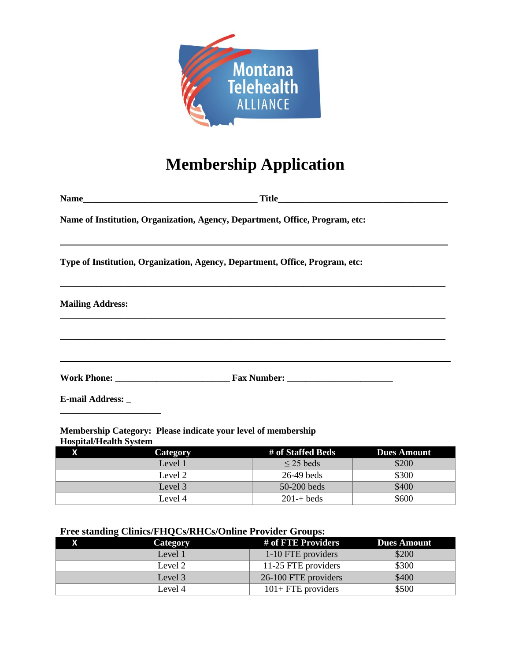

# **Membership Application**

**Name\_\_\_\_\_\_\_\_\_\_\_\_\_\_\_\_\_\_\_\_\_\_\_\_\_\_\_\_\_\_\_\_\_\_\_\_\_\_ Title\_\_\_\_\_\_\_\_\_\_\_\_\_\_\_\_\_\_\_\_\_\_\_\_\_\_\_\_\_\_\_\_\_\_\_\_\_**

**Name of Institution, Organization, Agency, Department, Office, Program, etc:**

**Type of Institution, Organization, Agency, Department, Office, Program, etc:**

| <b>Mailing Address:</b> |  |
|-------------------------|--|
|                         |  |
|                         |  |
|                         |  |
| E-mail Address: _       |  |

#### **Membership Category: Please indicate your level of membership Hospital/Health System**

**\_\_\_\_\_\_\_\_\_\_\_\_\_\_\_\_\_\_\_\_\_\_**

| Category | # of Staffed Beds     | <b>Dues Amount</b> |
|----------|-----------------------|--------------------|
| Level 1  | $\leq$ 25 beds        | \$200              |
| Level 2  | $26-49$ beds          | \$300              |
| Level 3  | $50-200$ beds         | \$400              |
| Level 4  | $201 - + \text{beds}$ | \$600              |

#### **Free standing Clinics/FHQCs/RHCs/Online Provider Groups:**

| <b>Category</b> | # of FTE Providers    | <b>Dues Amount</b> |
|-----------------|-----------------------|--------------------|
| Level 1         | 1-10 FTE providers    | \$200              |
| Level 2         | 11-25 FTE providers   | \$300              |
| Level 3         | 26-100 FTE providers  | \$400              |
| Level 4         | $101 + FTE$ providers | \$500              |